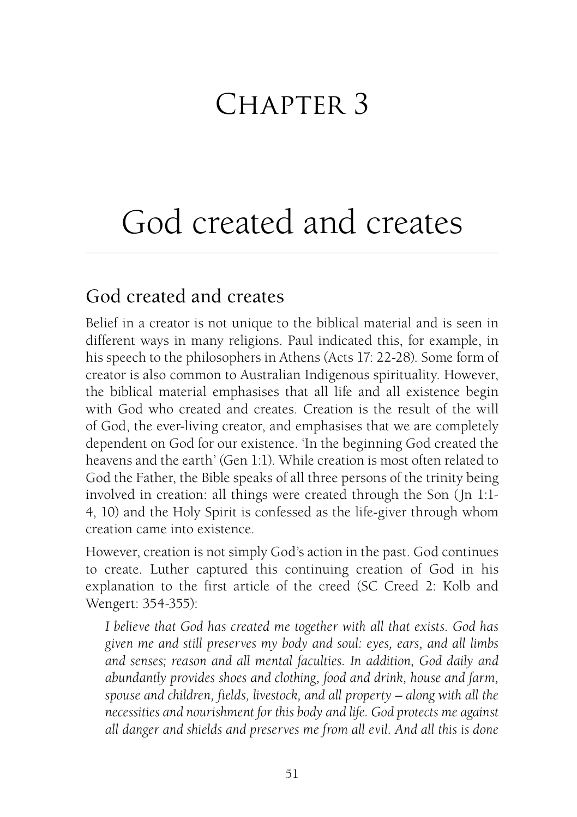## CHAPTER 3

# God created and creates

## God created and creates

Belief in a creator is not unique to the biblical material and is seen in different ways in many religions. Paul indicated this, for example, in his speech to the philosophers in Athens (Acts 17: 22-28). Some form of creator is also [co](http://www.biblegateway.com/passage/?search=John%201:10&version=NRSV)mmon to Australian Indigenous spirituality. However, the biblical material emphasises that all life and all existence begin with God who created and creates. Creation is the result of the will of God, the ever-living creator, and emphasises that we are completely dependent on God for our existence. 'In the beginning God created the heavens and the earth' (Gen 1:1). While creation is most often related to God the Father, the Bible speaks of all three persons of the trinity being involved in creation: all things were created through the Son (Jn 1:1- 4, 10) and the Holy Spirit is confessed as the life-giver through whom creation came into existence.

However, creation is not simply God's action in the past. God continues to create. Luther captured this continuing creation of God in his explanation to the first article of the creed (SC Creed 2: Kolb and Wengert: 354-355):

*I believe that God has created me together with all that exists. God has given me and still preserves my body and soul: eyes, ears, and all limbs and senses; reason and all mental faculties. In addition, God daily and abundantly provides shoes and clothing, food and drink, house and farm, spouse and children, fields, livestock, and all property – along with all the necessities and nourishment for this body and life. God protects me against all danger and shields and preserves me from all evil. And all this is done*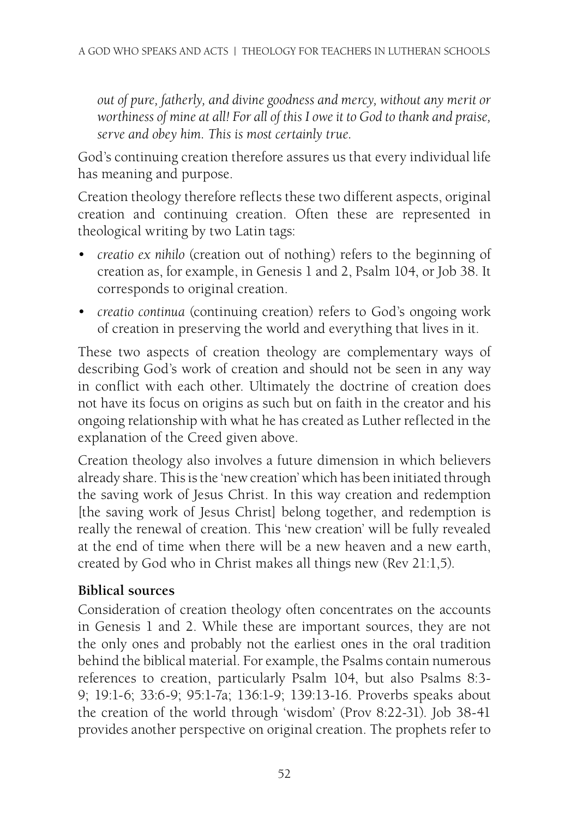*out of pure, [fatherly, and di](http://www.biblegateway.com/passage/?search=Genesis%201%20-%202&version=NRSV)v[ine goodne](http://www.biblegateway.com/passage/?search=Psalm%20104&version=NRSV)ss a[nd merc](http://www.biblegateway.com/passage/?search=Job%2038&version=NRSV)y, without any merit or worthiness of mine at all! For all of this I owe it to God to thank and praise, serve and obey him. This is most certainly true.*

God's continuing creation therefore assures us that every individual life has meaning and purpose.

Creation theology therefore reflects these two different aspects, original creation and continuing creation. Often these are represented in theological writing by two Latin tags:

- • *creatio ex nihilo* (creation out of nothing) refers to the beginning of creation as, for example, in Genesis 1 and 2, Psalm 104, or Job 38. It corresponds to original creation.
- • *creatio continua* (continuing creation) refers to God's ongoing work of creation in preserving the world and everything that lives in it.

These two aspects of creation theology are complementary ways of describing God's work of creation and should not be seen in any way in conflict with each other. Ultimately the doctrine of creation does not have its focus on origins as such but on faith in the creator and his ongoing rela[tionship wi](http://www.biblegateway.com/passage/?search=Revelations%2021:1,5&version=NRSV)th what he has created as Luther reflected in the explanation of the Creed given above.

Creation theology also involves a future dimension in which believers already share. This is the 'new creation' which has been initiated through the saving work of Jesus Christ. In this way creation and redemption [the saving work of Jesus Christ] [belong to](http://www.biblegateway.com/passage/?search=Psalm%20104&version=NRSV)gether, and [redemption](http://www.biblegateway.com/passage/?search=Psalm%208:3-9&version=NRSV) is really the renewal of creation. This 'new creation' will be fully revealed at the end of time when there will be a new heav[en and a ne](http://www.biblegateway.com/passage/?search=Job%2038-41&version=NRSV)w earth, created by God who in Christ makes all things new (Rev 21:1,5).

#### **Biblical sources**

Cons[ideration of](http://www.biblegateway.com/passage/?search=Isaiah%2044:24-28&version=NRSV) creation theology often concentrates on the accounts in Genesis 1 and 2. While these are important sources, they are not the only ones and probably not the earliest ones in the oral tradition behind the biblical material. For example, the Psalms contain [numerous](http://www.biblegateway.com/passage/?search=Acts%204:24&version=NRSV) references to [creation,](http://www.biblegateway.com/passage/?search=Eph%203:9&version=NRSV) [particular](http://www.biblegateway.com/passage/?search=Mt%206:25-34&version=NRSV)ly Psalm 10[4, but als](http://www.biblegateway.com/passage/?search=Heb%2011:3&version=NRSV)[o Psalms](http://www.biblegateway.com/passage/?search=Rev%204:11&version=NRSV) 8:3- 9; 19:1-6; 33:6-9; 95:1-7a; 136:1-9; 139:13-16. Proverbs speaks about the creation of the world thr[ough 'wisdom'](http://www.biblegateway.com/passage/?search=Col%201:15-16&version=NRSV) (Prov 8:22-31). Job 38-41 provides another perspective on original creatio[n. The proph](http://www.biblegateway.com/passage/?search=Rom%208:18-25&version=NRSV)ets refer to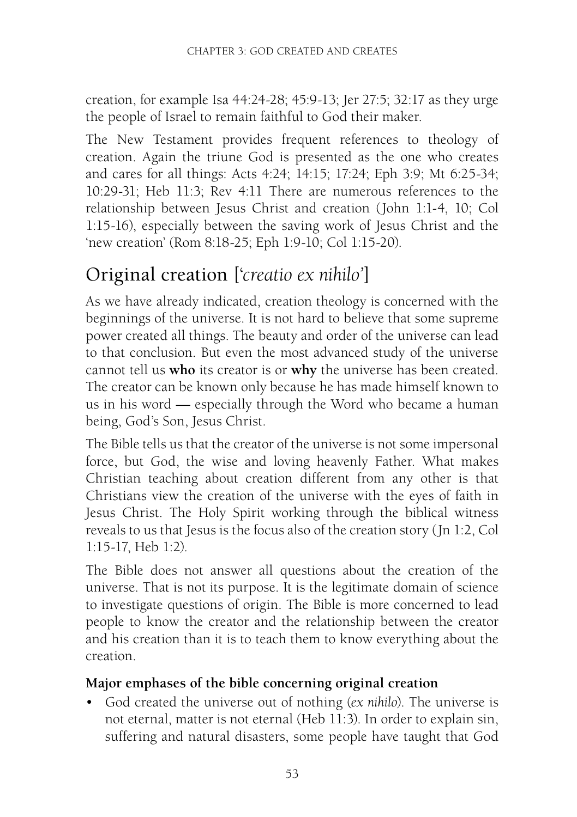creation, for example Isa 44:24-28; 45:9-13; Jer 27:5; 32:17 as they urge the people of Israel to remain faithful to God their maker.

The New Testament provides frequent references to theology of creation. Again the triune God is presented as the one who creates and cares for all things: Acts 4:24; 14:15; 17:24; Eph 3:9; Mt 6:25-34; 10:29-31; Heb 11:3; Rev 4:11 There are numerous references to the relationship between Jesus Christ and creation (John 1:1-4, 10; Col 1:15-16), especially between the saving work of Jesus Christ and the 'new creation' (Rom 8:18-25; Eph 1:9-10; Col 1:15-20).

## Original creation ['*creatio ex nihilo'*]

As we have already indicated, creation theology is concerned with the beginnings of the universe. It is not hard to believe that some supreme power created all things. The beauty and order of the universe can lead to that conclusion. But even the most advanced study of the universe cannot tell us **who** its creator is or **why** the universe has been crea[ted.](http://www.biblegateway.com/passage/?search=Col%201:15-17&version=NRSV)  [The crea](http://www.biblegateway.com/passage/?search=Col%201:15-17&version=NRSV)[tor can](http://www.biblegateway.com/passage/?search=Heb%201:2&version=NRSV) be known only because he has made himself known to us in his word — especially through the Word who became a human being, God's Son, Jesus Christ.

The Bible tells us that the creator of the universe is not some impersonal force, but God, the wise and loving heavenly Father. What makes Christian teaching about creation different from any other is that Christians view the creation of the universe with the eyes of faith in Jesus Christ. The Holy Spirit working through the biblical witness reveals to us that Jesus is the focus also of the creation story (Jn 1:2, Col 1:15-17, Heb 1:2).

The Bible does not answer all questions about the creation of the universe. That is not its purpose. It is the legitimate domain of science to investigate questions of origin. The Bible is more concerned to lead people to know the creator and the relationship between the creator and his creation than it is to teach them to know everything about the creation.

#### **Major emphases of the bible concerning original creation**

• God created the universe out of nothing (*ex nihilo*). The universe is not eternal, matter is not eternal (Heb 11:3). In order to explain sin, suffering and natural disasters, some people have taught that God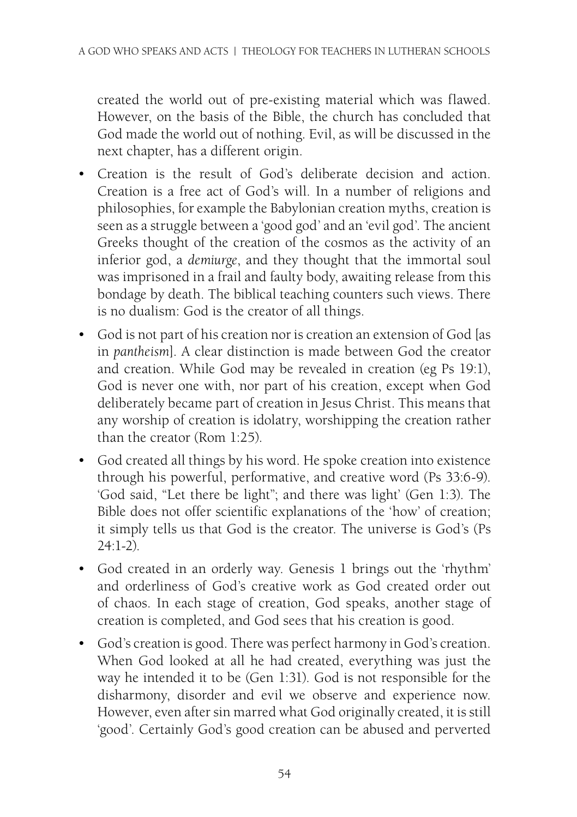created the world out of pre-existing material which was flawed. However, on the basis of the Bible, the church has concluded that God made the world out of nothing. Evil, as will be discussed in the next chapter, has a different origin.

- • Creation is the result of God's deliberate decision and action. Creation is a free act of God's will. In a number of religions and philosophies, for example the Babylonian creation myths, cre[ation is](http://www.biblegateway.com/passage/?search=Ps%2019:1&version=NRSV) seen as a struggle between a 'good god' and an 'evil god'. The ancient Greeks thought of the creation of the cosmos as the activity of an inferior god, a *demiurge*, and they thought that the immortal soul was imprisoned in a [frail an](http://www.biblegateway.com/passage/?search=Rom%201:25&version=NRSV)d faulty body, awaiting release from this bondage by death. The biblical teaching counters such views. There is no dualism: [God is th](http://www.biblegateway.com/passage/?search=Ps%2033:6-9&version=NRSV)e creator of all things.
- God is not part of his creation nor is creation an extension of God [as in *pantheism*]. A clear distinction is made between God the creator and creation. While God may be revealed in [creation \(](http://www.biblegateway.com/passage/?search=Ps%2024:1-2&version=NRSV)eg Ps 19:1), God is never one with, nor part of his creation, except when God deliberately became part of creation in Jesus Christ. This means that any worship of creation is idolatry, worshipping the creation rather than the creator (Rom 1:25).
- • God created all things by his word. He spoke creation into existence through his powerful, performative, and creative word (Ps 33:6-9). 'God said, "Let there be light"; a[nd there w](http://www.biblegateway.com/passage/?search=Gen%201:31&version=NRSV)as light' (Gen 1:3). The Bible does not offer scientific explanations of the 'how' of creation; it simply tells us that God is the creator. The universe is God's (Ps 24:1-2).
- • God created in an orderly way. Genesis 1 brings out the 'rhythm' and orderliness of God's creative work as God created order out of chaos. In each stage of creation, God speaks, another stage of creation is completed, and God sees that his creation is good.
- • God's creation is good. There was perfect harmony in God's creation. When God looked at all he had created, everything was just the way he intended it to be (Gen 1:31). God is not responsible for the disharmony, disorder and evil we observe and experience now. However, eve[n aft](http://www.biblegateway.com/passage/?search=Ps%208&version=NRSV)er sin marred what God originally created, it is still 'good'. Certainly God's good creation can be abused and perverted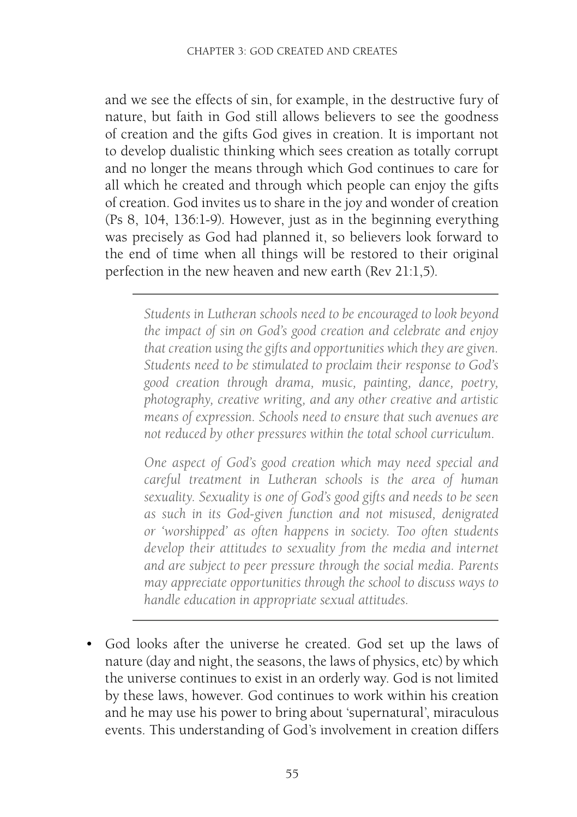and we see the effects of sin, for example, in the destructive fury of nature, but faith in God still allows believe[rs to see](http://www.biblegateway.com/passage/?search=Rev%2021:1,5&version=NRSV) the goodness of creation and the gifts God gives in creation. It is important not to develop dualistic thinking which sees creation as totally corrupt and no longer the means through which God continues to care for all which he created and through which people can enjoy the gifts of creation. God invites us to share in the joy and wonder of creation (Ps 8, 104, 136:1-9). However, just as in the beginning everything was precisely as God had planned it, so believers look forward to the end of time when all things will be restored to their original perfection in the new heaven and new earth (Rev 21:1,5).

*Students in Lutheran schools need to be encouraged to look beyond the impact of sin on God's good creation and celebrate and enjoy that creation using the gifts and opportunities which they are given. Students need to be stimulated to proclaim their response to God's good creation through drama, music, painting, dance, poetry, photography, creative writing, and any other creative and artistic means of expression. Schools need to ensure that such avenues are not reduced by other pressures within the total school curriculum.*

*One aspect of God's good creation which may need special and careful treatment in Lutheran schools is the area of human sexuality. Sexuality is one of God's good gifts and needs to be seen as such in its God-given function and not misused, denigrated or 'worshipped' as often happens in society. Too often students develop their attitudes to sexuality from the media and internet and are subject to peer pressure through the social media. Parents may appreciate opportunities through the school to discuss ways to handle education in appropriate sexual attitudes.*

• God looks after the universe he created. God set up the laws of nature (day and night, the seasons, the laws of physics, etc) by which the universe continues to exist in an orderly way. God is not limited by these laws, however. God continues to work within his creation and he may use his power to bring about 'supernatural', miraculous events. This understanding of God's involvement in creation differs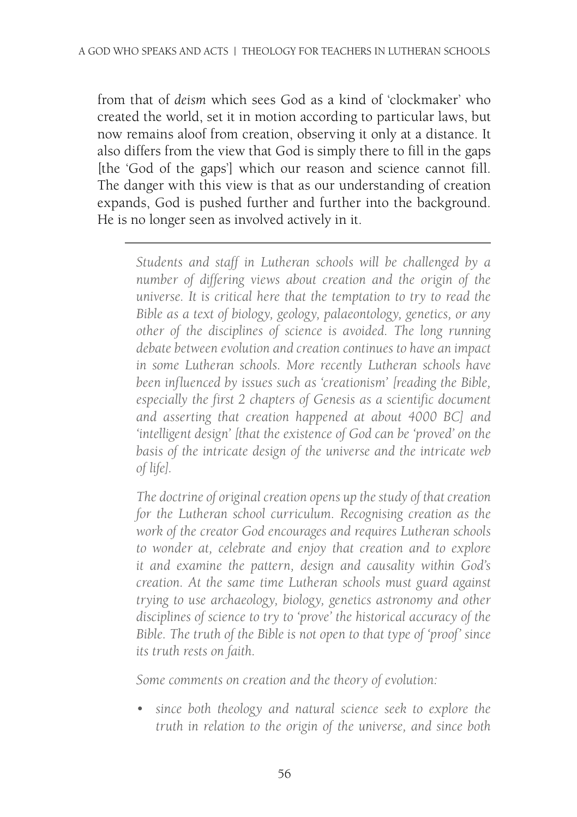from that of *deism* which sees God as a kind of 'clockmaker' who created the world, set it in motion according to particular laws, but now remains aloof from creation, observing it only at a distance. It also differs from the view that God is simply there to fill in the gaps [the 'God of the gaps'] which our reason and science cannot fill. The danger with this view is that as our understanding of creation expands, God is pushed further and further into the background. He is no longer seen as involved actively in it.

> *Students and staff in Lutheran schools will be challenged by a number of differing views about creation and the origin of the universe. It is critical here that the temptation to try to read the Bible as a text of biology, geology, palaeontology, genetics, or any other of the disciplines of science is avoided. The long running debate between evolution and creation continues to have an impact in some Lutheran schools. More recently Lutheran schools have been influenced by issues such as 'creationism' [reading the Bible, especially the first 2 chapters of Genesis as a scientific document and asserting that creation happened at about 4000 BC] and 'intelligent design' [that the existence of God can be 'proved' on the basis of the intricate design of the universe and the intricate web of life].*

> *The doctrine of original creation opens up the study of that creation for the Lutheran school curriculum. Recognising creation as the work of the creator God encourages and requires Lutheran schools to wonder at, celebrate and enjoy that creation and to explore it and examine the pattern, design and causality within God's creation. At the same time Lutheran schools must guard against trying to use archaeology, biology, genetics astronomy and other disciplines of science to try to 'prove' the historical accuracy of the Bible. The truth of the Bible is not open to that type of 'proof' since its truth rests on faith.*

*Some comments on creation and the theory of evolution:*

*• since both theology and natural science seek to explore the truth in relation to the origin of the universe, and since both*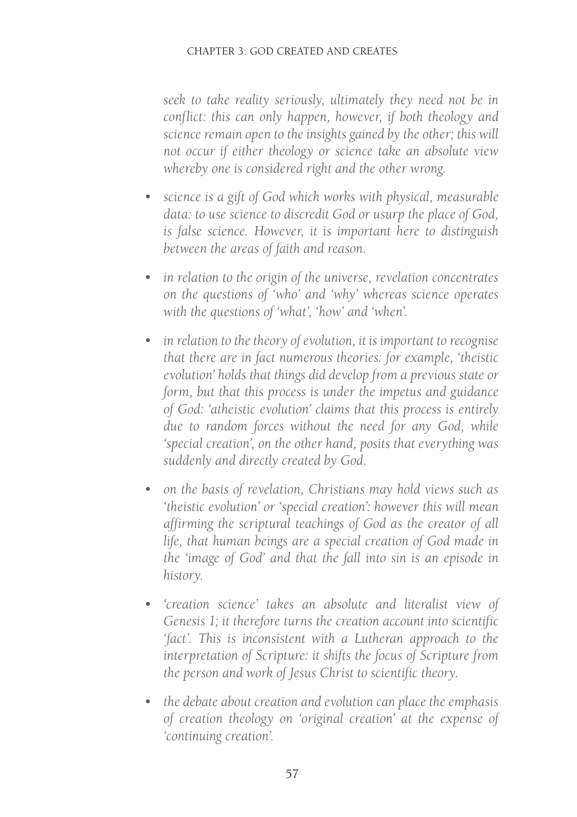*seek to take reality seriously, ultimately they need not be in conflict: this can only happen, however, if both theology and science remain open to the insights gained by the other; this will not occur if either theology or science take an absolute view whereby one is considered right and the other wrong.*

- *• science is a gift of God which works with physical, measurable data: to use science to discredit God or usurp the place of God, is false science. However, it is important here to distinguish between the areas of faith and reason.*
- *• in relation to the origin of the universe, revelation concentrates on the questions of 'who' and 'why' whereas science operates with the questions of 'what', 'how' and 'when'.*
- *• in relation to the theory of evolution, it is important to recognise that there are in fact numerous theories: for example, 'theistic evolution' holds that things did develop from a previous state or form, but that this process is under the impetus and guidance of God: 'atheistic evolution' claims that this process is entirely due to random forces without the need for any God, while 'special creation', on the other hand, posits that everything was suddenly and directly created by God.*
- *• on the basis of revelation, Christians may hold views such as 'theistic evolution' or 'special creation': however this will mean affirming the scriptural teachings of God as the creator of all life, that human beings are a special creation of God made in the 'image of God' and that the fall into sin is an episode in history.*
- *• 'creation science' takes an absolute and literalist view of Genesis 1; it therefore turns the creation account into scientific 'fact'. This is inconsistent with a Lutheran approach to the interpretation of Scripture: it shifts the focus of Scripture from the person and work of Jesus Christ to scientific theory.*
- *• the debate about creation and evolution can place the emphasis of creation theology on 'original creation' at the expense of 'continuing creation'.*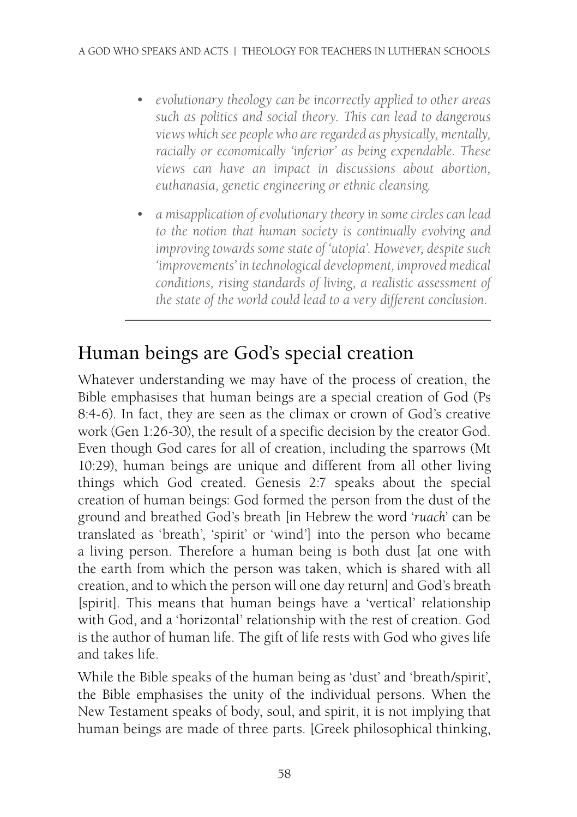- *• evolutionary theology can be incorrectly applied to other areas such as politics and social theory. This can lead to dangerous views which see people who are regarded as physically, mentally, racially or economically 'inferior' as being expendable. These views can have an [impact](http://www.biblegateway.com/passage/?search=Ps%208:4-6&version=NRSV) in discussions about abortion, euthanasia, genetic engineering or ethnic [cleansing.](http://www.biblegateway.com/passage/?search=Gen%201:26-30&version=NRSV)*
- *• a misapplication of evolutionary theory in some circles can lead to the notion that human society is continually evolving and improving towards some state of 'utopia'. However, despite such 'improvements' in technological [development](http://www.biblegateway.com/passage/?search=Genesis%202:7%20&version=NRSV), improved medical conditions, rising standards of living, a realistic assessment of the state of the world could lead to a very different conclusion.*

## Human beings are God's special creation

Whatever understanding we may have of the process of creation, the Bible emphasises that human beings are a special creation of God (Ps 8:4-6). In fact, they are seen as the climax or crown of God's creative work (Gen 1:26-30), the result of a specific decision by the creator God. Even though God cares for all of creation, including the sparrows (Mt 10:29), human beings are unique and different from all other living things which God created. Genesis 2:7 speaks about the special creation of human beings: God formed the person from the dust of the ground and breathed God's breath [in Hebrew the word '*ruach*' can be translated as 'breath', 'spirit' or 'wind'] into the person who became a living person. Therefore a human being is both dust [at one with the earth from which the person was taken, which is shared with all creation, and to which the person will one day return] and God's breath [spirit]. This means that human beings have a 'vertical' relationship with God, and a 'horizontal' relationship with the rest of creation. God is the author of human life. The gift of life rests with God who gives life and takes life.

Whi[le the Bible](http://www.biblegateway.com/passage/?search=1%20Thess%205:23&version=NRSV) speaks of the human being as 'dust' and 'breath/spirit', the Bible emphasises the unity of the individual persons. When the New Testament speaks of body, soul, and spirit, it is not implying that human beings are made of three parts. [Greek philosophical thinking,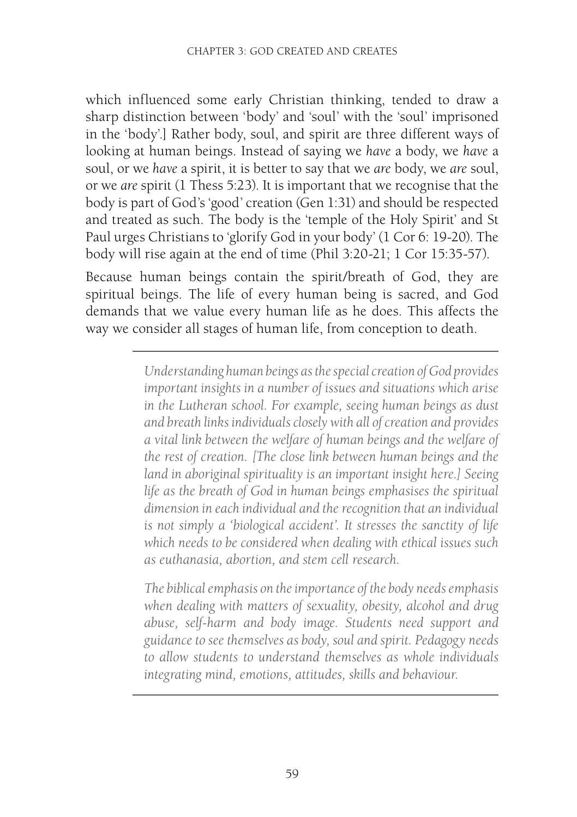which influenced some early Christian th[inking, tende](http://www.biblegateway.com/passage/?search=Phil%203:20-21&version=NRSV)[d to draw a](http://www.biblegateway.com/passage/?search=1%20Cor%2015:35-57&version=NRSV)  [shar](http://www.biblegateway.com/passage/?search=1%20Cor%2015:35-57&version=NRSV)p distinction between 'body' and 'soul' with the 'soul' imprisoned in the 'body'.] Rather body, soul, and spirit are three different ways of looking at human beings. Instead of saying we *have* a body, we *have* a soul, or we *have* a spirit, it is better to say that we *are* body, we *are* soul, or we *are* spirit (1 Thess 5:23). It is important that we recognise that the body is part of God's 'good' creation (Gen 1:31) and should be respected and treated as such. The body is the 'temple of the Holy Spirit' and St Paul urges Christians to 'glorify God in your body' (1 Cor 6: 19-20). The body will rise again at the end of time (Phil 3:20-21; 1 Cor 15:35-57).

Because human beings contain the spirit/breath of God, they are spiritual beings. The life of every human being is sacred, and God demands that we value every human life as he does. This affects the way we consider all stages of human life, from conception to death.

> *Understanding human beings as the special creation of God provides important insights in a number of issues and situations which arise in the Lutheran school. For example, seeing human beings as dust and breath links individuals closely with all of creation and provides a vital link between the welfare of human beings and the welfare of the rest of creation. [The close link between human beings and the land in aboriginal spirituality is an important insight here.] Seeing life as the breath of God in human beings emphasises the spiritual dimension in e[ach individual a](http://www.biblegateway.com/passage/?search=Genesis%201:26-28%20&version=NRSV)nd the recognition that an individual is not simply a 'biological accident'. It stresses the sanctity of life which needs to be considered when dealing with ethical issues such as euthanasia, abortion, and stem cell research.*

> *The biblical emphasis on the importance of the body needs emphasis when dealing with matters of sexuality, obesity, alcohol and drug abuse, self-harm and body image. Students need support and guidance to see themselves as body, soul and spirit. Pedagogy needs to allow students to understand themselves as whole individuals integrating mind, emotions, attitudes, skills and behaviour.*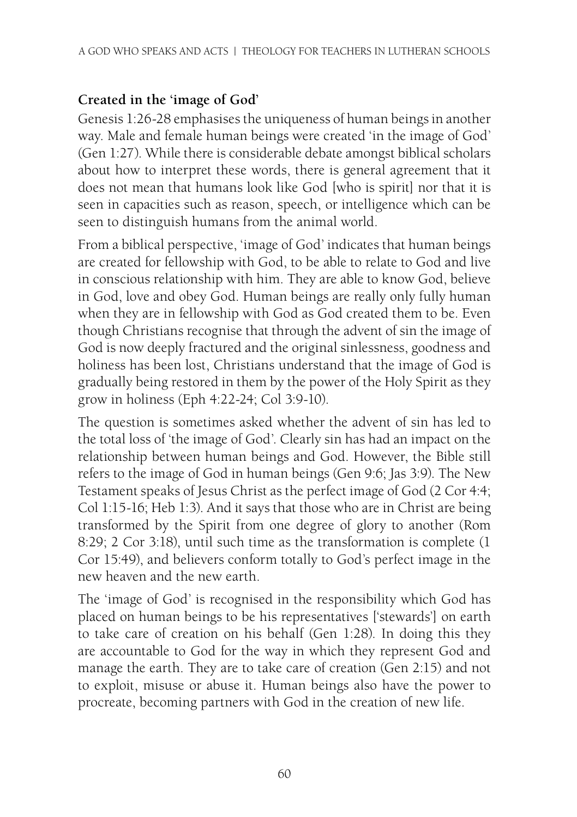#### **Created in the 'image of God'**

Genesis 1:26-28 emphasises the uniqueness of human beings in another way. Male and female human beings were created 'in the image of God' (Gen 1:27). While there is considerable debate amongst biblical scholars about how to interpret these words, there is general agreement that it does not mean that humans look like God [who is spirit] nor that it is seen in capacities such as reason, speech, or intelligence which can be seen to distinguish humans from the animal world.

From a bi[blical persp](http://www.biblegateway.com/passage/?search=Col%203:9-10&version=NRSV)ective, 'image of God' indicates that human beings are created for fellowship with God, to be able to relate to God and live in conscious relationship with him. They are able to know God, believe in God, love and obey God. Human beings are really only fully [human](http://www.biblegateway.com/passage/?search=Gen%209:6&version=NRSV) [w](http://www.biblegateway.com/passage/?search=Gen%209:6&version=NRSV)h[en they a](http://www.biblegateway.com/passage/?search=Jas%203:9&version=NRSV)re in fellowship with God as God created them to be. Even though Christi[ans recog](http://www.biblegateway.com/passage/?search=2%20Cor%204:4&version=NRSV)ni[se that thro](http://www.biblegateway.com/passage/?search=Col%201:15-16&version=NRSV)[ugh the](http://www.biblegateway.com/passage/?search=Heb%201:3&version=NRSV) advent of sin the image of God is now deeply fractured and the original sinlessness, goodness and holiness has been [lost, C](http://www.biblegateway.com/passage/?search=Rom%208:29&version=NRSV)hr[istians un](http://www.biblegateway.com/passage/?search=2%20Cor%203:18&version=NRSV)derstand that the image of God is gradually being res[tored in them](http://www.biblegateway.com/passage/?search=1%20Cor%2015:49&version=NRSV) by the power of the Holy Spirit as they grow in holiness (Eph 4:22-24; Col 3:9-10).

The question is sometimes asked whether the advent of sin has led to the total loss of 'the image of God'. Clearly sin has had an impact on the relationship between human beings and God. However, the Bible still refers to the image of God in human beings (Gen 9:6; Jas 3:9). The New Testament speaks of Jesus Christ as the perfect im[age of God](http://www.biblegateway.com/passage/?search=Gen%202:15&version=NRSV) (2 Cor 4:4; Col 1:15-16; Heb 1:3). And it says that those who are in Christ are being transformed by the Spirit from one degree of glory to another (Rom 8:29; 2 Cor 3:18), until such time as the transformation is complete (1 Cor 15:49), and believers conform totally to God's perfect image in the new heaven and the new earth.

The 'image of God' is recognised in the responsibility which God has placed on human beings to be his representatives ['stewards'] on earth to take care of creation on his behalf (Gen 1:28). In doing this they are accountable to God for the way in which they represent God and manage the earth. They are to take care of creation (Gen 2:15) and not to exploit, misuse or abuse it. Human beings also have the power to procreate, becoming partners with God in the creation of new life.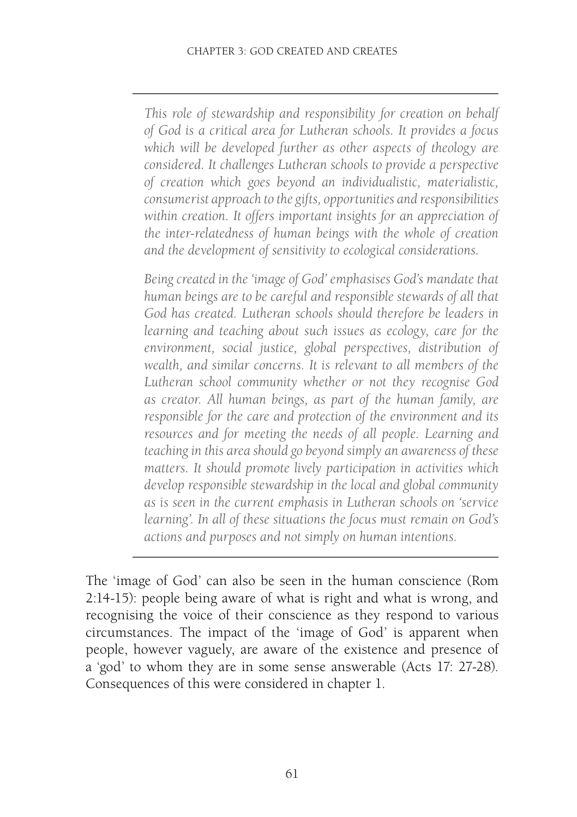*This role of stewardship and responsibility for creation on behalf of God is a critical area for Lutheran schools. It provides a focus which will be developed further as other aspects of theology are considered. It challenges Lutheran schools to provide a perspective of creation which goes beyond an individualistic, materialistic, consumerist approach to the gifts, opportunities and responsibilities within creation. It offers important insights for an appreciation of the inter-relatedness of human beings with the whole of creation and the development of sensitivity to ecological considerations.*

*Being created in the 'image of God' emphasises God's mandate that human beings are to be careful and responsible stewards of all that God has created. Lutheran schools should therefore be leaders in learning and teaching about such issues as ecology, care for the environment, social justice, global perspectives, distribution of wealth, and similar concerns. It is relevant to all members of the Lutheran school community whether [or not they](http://www.biblegateway.com/passage/?search=Rom%202:14-15&version=NRSV) recognise God as creator. All human beings, as part of the human family, are responsible for the care and protection of the environment and its resources and for meeting the needs of all people. Learning and teaching in this area should go beyond simply an awareness of these matters. It should promote lively par[ticipation in a](http://www.biblegateway.com/passage/?search=Acts%2017:%2027-28&version=NRSV)ctivities which develop responsible stewardship in the local and global community as is seen in the current emphasis in Lutheran schools on 'service learning'. In all of these situations the focus must remain on God's actions and purposes and not simply on human intentions.*

The 'image of God' can also be seen in the human conscience (Rom 2:14-15): people being aware of what is right and what is wrong, and recognising the voice of their conscience as they respond to various circumstances. The impact of the 'image of God' is apparent when people, however vaguely, are aware of the existence and presence of a 'god' to whom they are in some sense answerable (Acts 17: 27-28). Consequences of this were considered in chapter 1.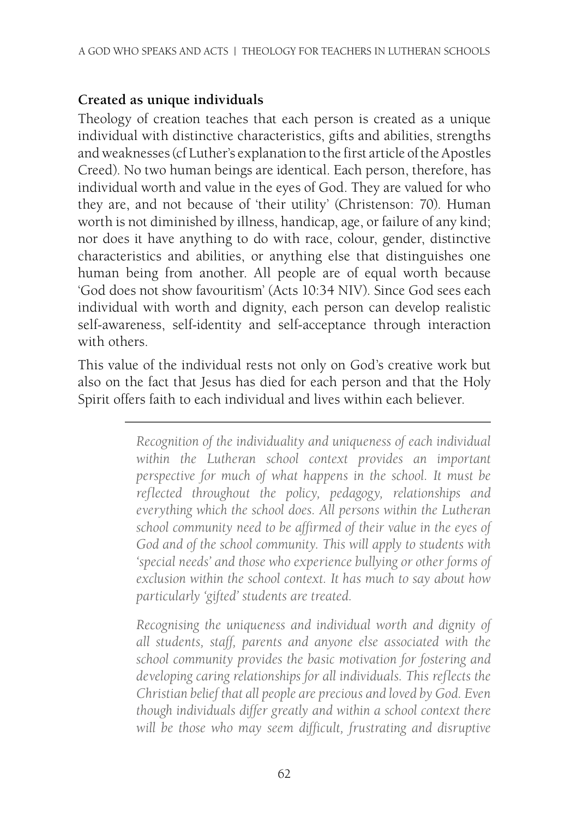#### **Created as unique individuals**

Theology of creation teaches that each person is created as a unique individual with distinctive characteristics, gifts and abilities, strengths and weaknesses (cf Luther's explanation to the first article of the Apostles Creed). No two human beings are identical. Each person, therefore, has individual worth and value in the eyes of God. They are valued for who they are, and not because of 'their utility' (Christenson: 70). Human worth is not diminished by illness, handicap, age, or failure of any kind; nor does it have anything to do with race, colour, gender, distinctive characteristics and abilities, or anything else that distinguishes one human being from another. All people are of equal worth because 'God does not show favouritism' (Acts 10:34 NIV). Since God sees each individual with worth and dignity, each person can develop realistic self-awareness, self-identity and self-acceptance through interaction with others.

This value of the individual rests not only on God's creative work but also on the fact that Jesus has died for each person and that the Holy Spirit offers faith to each individual and lives within each believer.

> *Recognition of the individuality and uniqueness of each individual within the Lutheran school context provides an important perspective for much of what happens in the school. It must be reflected throughout the policy, pedagogy, relationships and everything which the school does. All persons within the Lutheran school community need to be affirmed of their value in the eyes of God and of the school community. This will apply to students with 'special needs' and those who experience bullying or other forms of exclusion within the school context. It has much to say about how particularly 'gifted' students are treated.*

> *Recognising the uniqueness and individual worth and dignity of all students, staff, parents and anyone else associated with the school community provides the basic motivation for fostering and developing caring relationships for all individuals. This reflects the Christian belief that all people are precious and loved by God. Even though individuals differ greatly and within a school context there will be those who may seem difficult, frustrating and disruptive*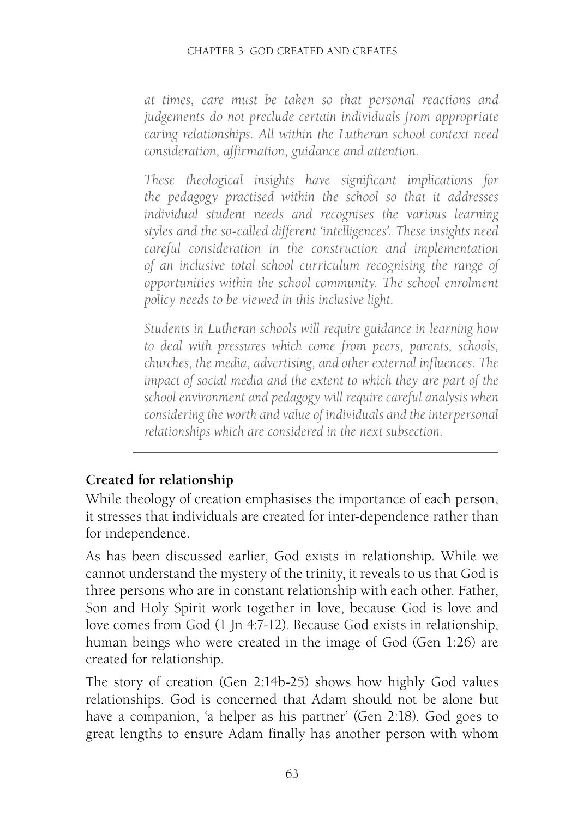#### CHAPTER 3: GOD CREATED AND CREATES

*at times, care must be taken so that personal reactions and judgements do not preclude certain individuals from appropriate caring relationships. All within the Lutheran school context need consideration, affirmation, guidance and attention.*

*These theological insights have significant implications for the pedagogy practised within the school so that it addresses individual student needs and recognises the various learning styles and the so-called different 'intelligences'. These insights need careful consideration in the construction and implementation of an inclusive total school curriculum recognising the range of opportunities within the school community. The school enrolment policy needs to be viewed in this inclusive light.*

*Students in Lutheran schools will require guidance in learning how to deal with pressures which come from peers, parents, schools, churches, the media, advertising, and other external influences. The impact of social media and the extent to which they are par[t of the](http://www.biblegateway.com/passage/?search=1%20Jn%204:7-12&version=NRSV)  [sch](http://www.biblegateway.com/passage/?search=1%20Jn%204:7-12&version=NRSV)ool environment and pedagogy will require careful analysis when considering the worth and value of individuals and the interpersonal relationships which [are conside](http://www.biblegateway.com/passage/?search=Gen%202:14b-25&version=NRSV)red in the next subsection.*

#### **Created for relationship**

While theology of creation emphasises the importance of each person, it stresses that individuals are created for inter-dependence rather than for independence.

As has been discussed earlier, God exists in relationship. While we cannot understand the mystery of the trinity, it reveals to us that God is three persons who are in constant relationship with each other. Father, Son and Holy Spirit work together in love, because God is love and love comes from God (1 Jn 4:7-12). Because God exists in relationship, human beings who were created in the image of God (Gen 1:26) are created for relationship.

The story of creation (Gen 2:14b-25) shows how highly God values relationships. God is concerned that Adam should not be alone but have a companion, 'a helper as his partner' (Gen 2:18). God goes to great lengths to ensure Adam finally has another person with whom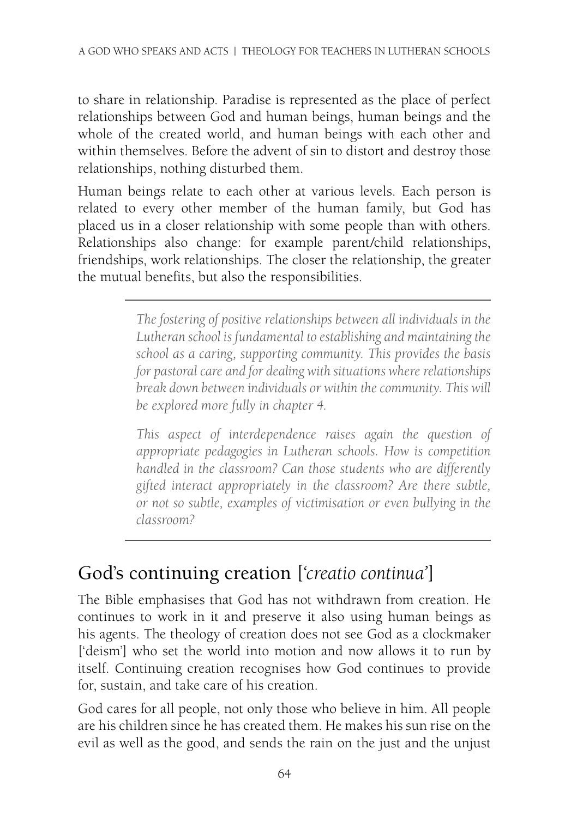to share in relationship. Paradise is represented as the place of perfect relationships between God and human beings, human beings and the whole of the created world, and human beings with each other and within themselves. Before the advent of sin to distort and destroy those relationships, nothing disturbed them.

Human beings relate to each other at various levels. Each person is related to every other member of the human family, but God has placed us in a closer relationship with some people than with others. Relationships also change: for example parent/child relationships, friendships, work relationships. The closer the relationship, the greater the mutual benefits, but also the responsibilities.

> *The fostering of positive relationships between all individuals in the Lutheran school is fundamental to establishing and maintaining the school as a caring, supporting community. This provides the basis for pastoral care and for dealing with situations where relationships break down between individuals or within the community. This will be explored more fully in chapter 4.*

> *This aspect of interdependence raises again the question of appropriate pedagogies in Lutheran schools. How is competition handled in the classroom? Can those students who are differently gifted interact appropriately in the classroom? Are there subtle, or not so subtle, examples of victimisation or even bullying in the classroom?*

## God's continuing creation [*'creatio continua'*]

The Bible emphasises that God [has not withdr](http://www.biblegateway.com/passage/?search=Ps%20104:%2027-30&version=NRSV)awn from creation. He continues to work in it and preserve it also using human beings as his agents. The theology of creation does not see God as a clockmaker ['deism'] who set the world in[to motion a](http://www.biblegateway.com/passage/?search=Mt%206:25-34&version=NRSV)nd now allows it to run by itself. Continuing creation recognises how God continues to provide for, sustain, and take ca[re of his c](http://www.biblegateway.com/passage/?search=Ex%2016:%204&version=NRSV)reation.

God cares for all people, not only those who be[lieve in him](http://www.biblegateway.com/passage/?search=Ps%2091:%2011-12&version=NRSV). All people are his children since he has created them. He makes his sun rise on the evil as well as the good, and sends the rain on the just and the unjust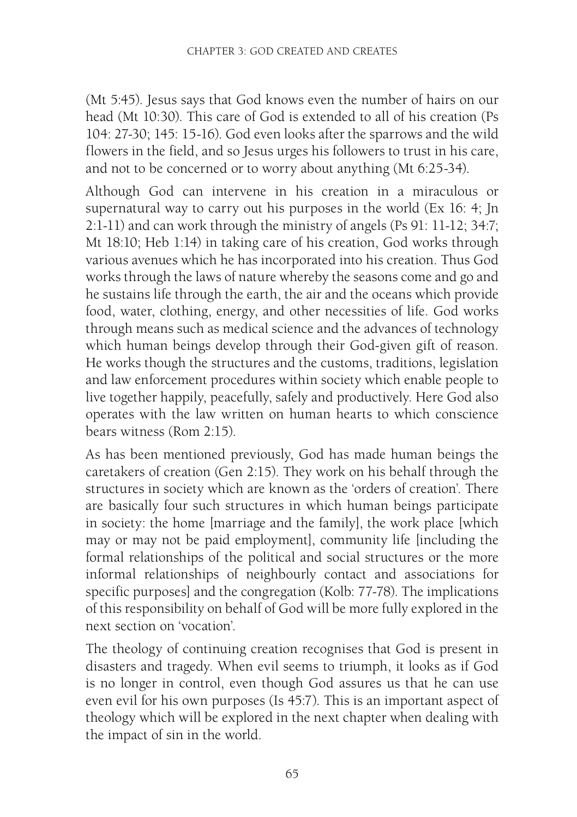(Mt 5:45). Jesus says that God knows even the number of hairs on our head (Mt 10:30). This care of God is extended to all of his creation (Ps 104: 27-30; 145: 15-16). God even looks after the sparrows and the wild flowers in the field, and so Jesus urges his followers to trust in his care, and not to be concerned or to worry about anything (Mt 6:25-34).

Although God can intervene in his creation in a miraculous or supernatural way to carry out his purposes in the world (Ex 16: 4; Jn 2:1-11) and can work through the ministry of angels (Ps 91: 11-12; 34:7; Mt 18:10; Heb 1:14) in taking care of his creation, God works through [various](http://www.biblegateway.com/passage/?search=Rom%202:15&version=NRSV) avenues which he has incorporated into his creation. Thus God works through the laws of nature whereby the seasons come and go and he sustains life through the earth, the air and the oceans which provide food, water, clothing, energy, and other necessities of life. God works through means such as medical science and the advances of technology which human beings develop through their God-given gift of reason. He works though the structures and the customs, traditions, legislation and law enforcement procedures within society which enable people to live together happily, peacefully, safely and productively. Here God also operates with the law written on human hearts to which conscience bears witness (Rom 2:15).

As has been mentioned previously, God has made human beings the caretakers of creation (Gen 2:15). They work on his behalf through the structures in society which are known as the 'orders of creation'. There are basically four such structures in [which hum](http://www.biblegateway.com/passage/?search=Isa%2045:7&version=NRSV)an beings participate in society: the home [marriage and the family], the work place [which may or may not be paid employment], community life [including the formal relationships of the political and social structures or the more informal relationships of neighbourly contact and associations for specific purposes] and the congregation (Kolb: 77-78). The implications of this responsibility on behalf of God will be more fully explored in the next section on 'vocation'.

The theology of continuing creation recognises that God is present in disasters and tragedy. When evil seems to triumph, it looks as if God is no longer in control, even though God assures us that he can use even evil for his own purposes (Is 45:7). This is an important aspect of theology which will be explored in the next chapter when dealing with the impact of sin in the world.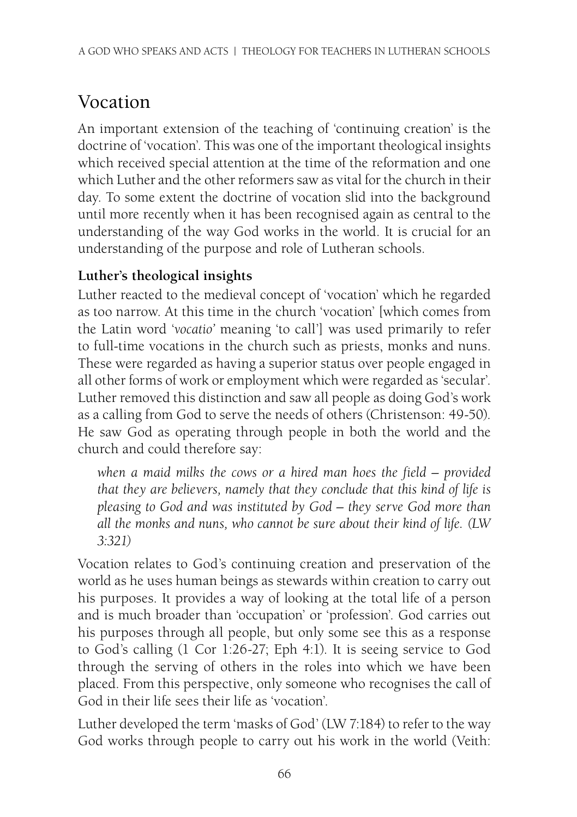## Vocation

An important extension of the teaching of 'continuing creation' is the doctrine of 'vocation'. This was one of the important theological insights which received special attention at the time of the reformation and one which Luther and the other reformers saw as vital for the church in their day. To some extent the doctrine of vocation slid into the background until more recently when it has been recognised again as central to the understanding of the way God works in the world. It is crucial for an understanding of the purpose and role of Lutheran schools.

#### **Luther's theological insights**

Luther reacted to the medieval concept of 'vocation' which he regarded as too narrow. At this time in the church 'vocation' [which comes from the Latin word '*vocatio'* meaning 'to call'] was used primarily to refer to full-time vocations in the church such as priests, monks and nuns. These were regarded as having a superior status over people engaged in all other forms of work or employment which were regarded as 'secular'. Luther removed this distinction and saw all people as doing God's work as a calling from God to serve the needs of others (Christenson: 49-50). He saw God as operating thro[ugh people in](http://www.biblegateway.com/passage/?search=1%20Cor%201:26-27&version=NRSV) b[oth the w](http://www.biblegateway.com/passage/?search=Eph%204:1&version=NRSV)orld and the church and could therefore say:

*when a maid milks the cows or a hired man hoes the field – provided that they are believers, namely that they conclude that this kind of life is pleasing to God and was instituted by God – they serve God more than all the monks and nuns, who cannot be sure about their kind of life. (LW 3:321)*

Vocation relates to God's continuing creation and preservation of the world as he uses human beings as stewards within creation to carry out his purposes. It provides a way of looking at the total life of a person and is much broader than 'occupation' or 'profession'. God carries out his purposes through all people, but only some see this as a response to God's calling (1 Cor 1:26-27; Eph 4:1). It is seeing service to God through the serving of others in the roles into which we have been placed. From this perspective, only someone who recognises the call of God in their life sees their life as 'vocation'.

Luther developed the term 'masks of God' (LW 7:184) to refer to the way God works through people to carry out his work in the world (Veith: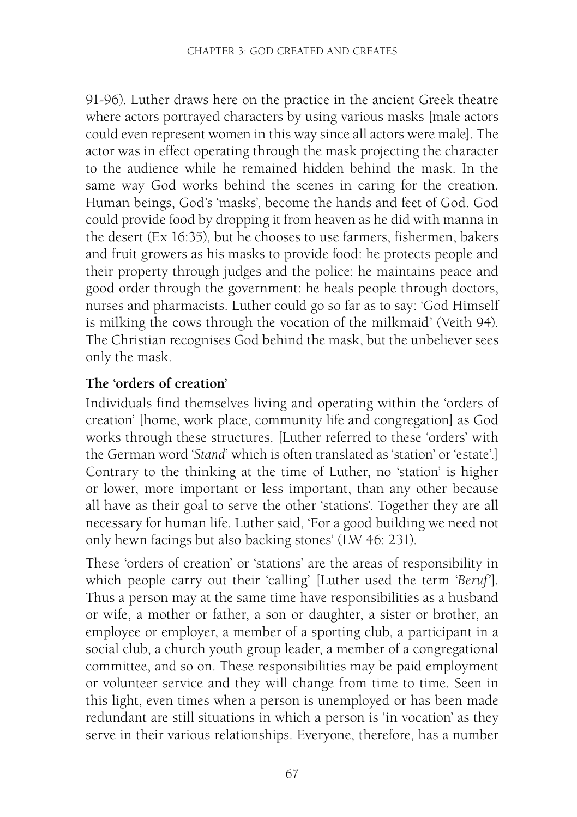91-96). Luther draws here on the practice in the ancient Greek theatre where actors portrayed characters by using various masks [male actors could even represent women in this way since all actors were male]. The actor was in effect operating through the mask projecting the character to the audience while he remained hidden behind the mask. In the same way God works behind the scenes in caring for the creation. Human beings, God's 'masks', become the hands and feet of God. God could provide food by dropping it from heaven as he did with manna in the desert (Ex 16:35), but he chooses to use farmers, fishermen, bakers and fruit growers as his masks to provide food: he protects people and their property through judges and the police: he maintains peace and good order through the government: he heals people through doctors, nurses and pharmacists. Luther could go so far as to say: 'God Himself is milking the cows through the vocation of the milkmaid' (Veith 94). The Christian recognises God behind the mask, but the unbeliever sees only the mask.

#### **The 'orders of creation'**

Individuals find themselves living and operating within the 'orders of creation' [home, work place, community life and congregation] as God works through these structures. [Luther referred to these 'orders' with the German word '*Stand*' which is often translated as 'station' or 'estate'.] Contrary to the thinking at the time of Luther, no 'station' is higher or lower, more important or less important, than any other because all have as their goal to serve the other 'stations'. Together they are all necessary for human life. Luther said, 'For a good building we need not only hewn facings but also backing stones' (LW 46: 231).

These 'orders of creation' or 'stations' are the areas of responsibility in which people carry out their 'calling' [Luther used the term '*Beruf'*]. Thus a person may at the same time have responsibilities as a husband or wife, a mother or father, a son or daughter, a sister or brother, an employee or employer, a member of a sporting club, a participant in a social club, a church youth group leader, a member of a congregational committee, and so on. These responsibilities may be paid employment or volunteer service and they will change from time to time. Seen in this light, even times when a person is unemployed or has been made redundant are still situations in which a person is 'in vocation' as they serve in their various relationships. Everyone, therefore, has a number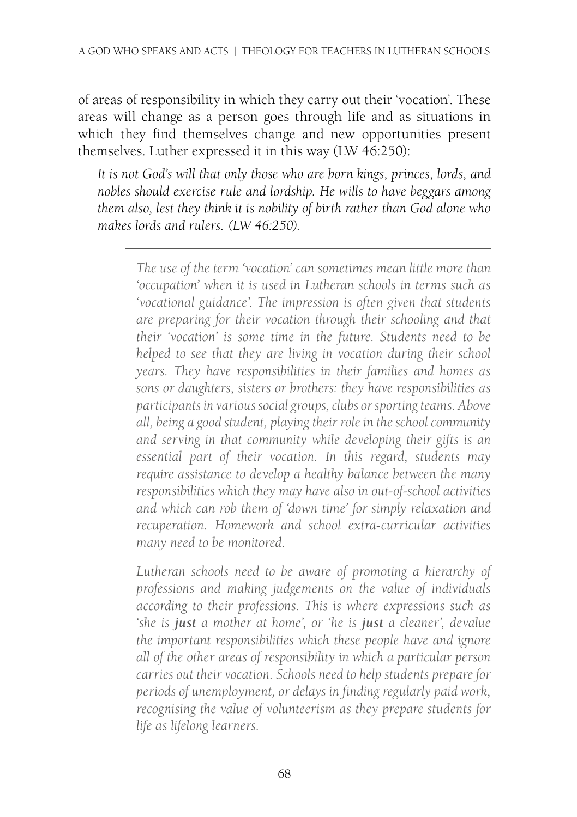of areas of responsibility in which they carry out their 'vocation'. These areas will change as a person goes through life and as situations in which they find themselves change and new opportunities present themselves. Luther expressed it in this way (LW 46:250):

*It is not God's will that only those who are born kings, princes, lords, and nobles should exercise rule and lordship. He wills to have beggars among them also, lest they think it is nobility of birth rather than God alone who makes lords and rulers. (LW 46:250).*

*The use of the term 'vocation' can sometimes mean little more than 'occupation' when it is used in Lutheran schools in terms such as 'vocational guidance'. The impression is often given that students are preparing for their vocation through their schooling and that their 'vocation' is some time in the future. Students need to be helped to see that they are living in vocation during their school years. They have responsibilities in their families and homes as sons or daughters, sisters or brothers: they have responsibilities as participants in various social groups, clubs or sporting teams. Above all, being a good student, playing their role in the school community and serving in that community while developing their gifts is an essential part of their vocation. In this regard, students may require assistance to develop a healthy balance between the many responsibilities which they may have also in out-of-school activities and which can rob them of 'down time' for simply relaxation and recuperation. Homework and school extra-curricular activities many need to be monitored.* 

*Lutheran schools need to be aware of promoting a hierarchy of professions and making judgements on the value of individuals according to their professions. This is where expressions such as 'she is just a mother at home', or 'he is just a cleaner', devalue the important responsibilities which these people have and ignore all of the other areas of responsibility in which a particular person carries out their vocation. Schools need to help students prepare for periods of unemployment, or delays in finding regularly paid work, recognising the value of volunteerism as they prepare students for life as lifelong learners.*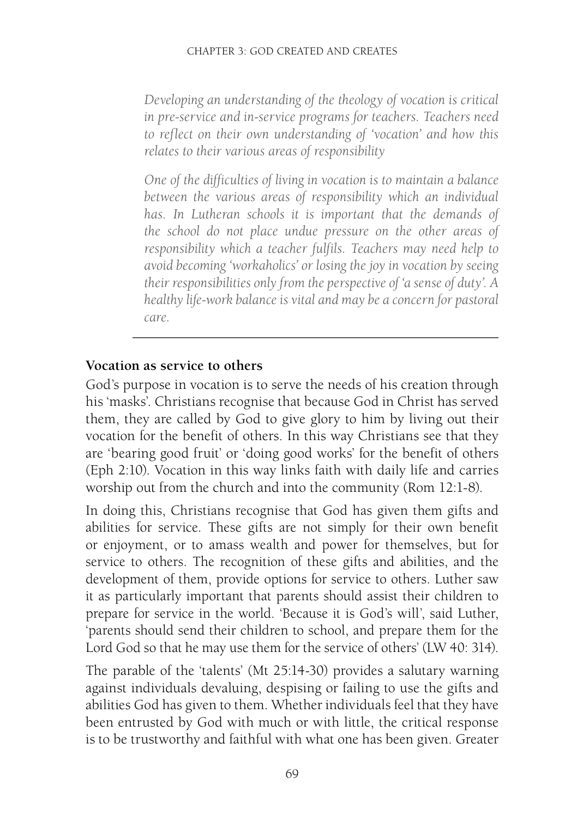*Developing an understanding of the theology of vocation is critical in pre-service and in-service programs for teachers. Teachers need to reflect on their own understanding of 'vocation' and how this relates to their various areas of responsibility* 

*One of the difficulties of living in vocation is to maintain a balance between the various areas of responsibility which an individual has. In Lutheran schools it is important that the demands of the school do not place undue pressure on the other areas of responsibility which a teacher fulfil[s. Teachers](http://www.biblegateway.com/passage/?search=Rom%2012:1-8&version=NRSV) may need help to avoid becoming 'workaholics' or losing the joy in vocation by seeing their responsibilities only from the perspective of 'a sense of duty'. A healthy life-work balance is vital and may be a concern for pastoral care.*

#### **Vocation as service to others**

God's purpose in vocation is to serve the needs of his creation through his 'masks'. Christians recognise that because God in Christ has served them, they are called by God to give glory to him by living out their vocation for the benefit of others. In this way Christians see that they are 'bearing good fruit' or 'doing good works' for the benefit of others (Eph 2:10). Vocation in this way links faith with [daily life](http://www.biblegateway.com/passage/?search=Mt%2025:14-30&version=NRSV) and carries worship out from the church and into the community (Rom 12:1-8).

In doing this, Christians recognise that God has given them gifts and abilities for service. These gifts are not simply for their own benefit or enjoyment, or to amass wealth and power for themselves, but for service to others. The recognition of these gifts and abilities, and the development of them, provide options for service to others. Lu[ther saw](http://www.biblegateway.com/passage/?search=Mt%2025:31-46&version=NRSV)  [it a](http://www.biblegateway.com/passage/?search=Mt%2025:31-46&version=NRSV)s particularly important that parents should assist their children to prepare for service in the world. 'Because it is God's will', said Luther, 'parents should send their children to school, and prepare them for the Lord God so that he may use them for the service of others' (LW 40: 314).

The parable of the 'talents' (Mt 25:14-30) provides a salutary warning against individuals devaluing, despising or failing to use the gifts and abilities God has given to them. Whether individuals feel that they have been entrusted by God with much or with little, the critical response is to be trustworthy and faithful with what one has been given. Greater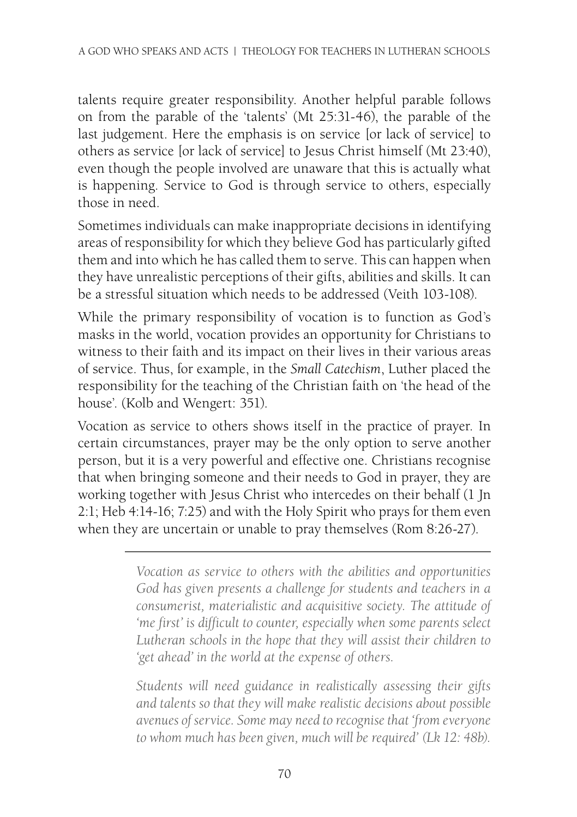talents require greater responsibility. Another helpful parable follows on from the parable of the 'talents' (Mt 25:31-46), the parable of the last judgement. Here the emphasis is on service [or lack of service] to others as service [or lack of service] to Jesus Christ himself (Mt 23:40), even though the people involved are unaware that this is actually what is happening. Service to God is through service to others, especially those in need.

Sometimes individuals can make inappropriate decisions in identifying areas of responsibility for which they believe God has particularly gifted them and into which he has called them to serve. This can happen when they have unrealistic perceptions of their gifts, abilities and skills. It can be a stressful situation which needs to be [addressed](http://www.biblegateway.com/passage/?search=1%20Jn%202:1&version=NRSV) ([Veith 103-1](http://www.biblegateway.com/passage/?search=Heb%204:14-16&version=NRSV)08).

While the primary responsibility of vocation is to function as God's masks in the world, vocation provid[es an oppor](http://www.biblegateway.com/passage/?search=Rom%208:26-27&version=NRSV)tunity for Christians to witness to their faith and its impact on their lives in their various areas of service. Thus, for example, in the *Small Catechism*, Luther placed the responsibility for the teaching of the Christian faith on 'the head of the house'. (Kolb and Wengert: 351).

Vocation as service to others shows itself in the practice of prayer. In certain circumstances, prayer may be the only option to serve another person, but it is a very powerful and effective one. Christians recognise that when bringing someone and their needs to God in prayer, they are working together with Jesus Christ who intercedes on their behalf (1 Jn 2:1; Heb 4:14-16; 7:25) and with the Holy Spirit who prays for them even when they are uncertain or unable to pray themselves (Rom 8:26-27).

> *Vocation as service to others with the abilities and opportunities God has given presents a challenge for students and teachers in a consumerist, materialistic and acquisitive society. The attitude of 'me first' is difficult to counter, especially when some parents select Lutheran schools in the hope that they will assist their children to 'get ahead' in the world at the expense of others.*

> *Students will need guidance in realistically assessing their gifts and talents so that they will make realistic decisions about possible avenues of service. Some may need to recognise that 'from everyone to whom much has been given, much will be required' (Lk 12: 48b).*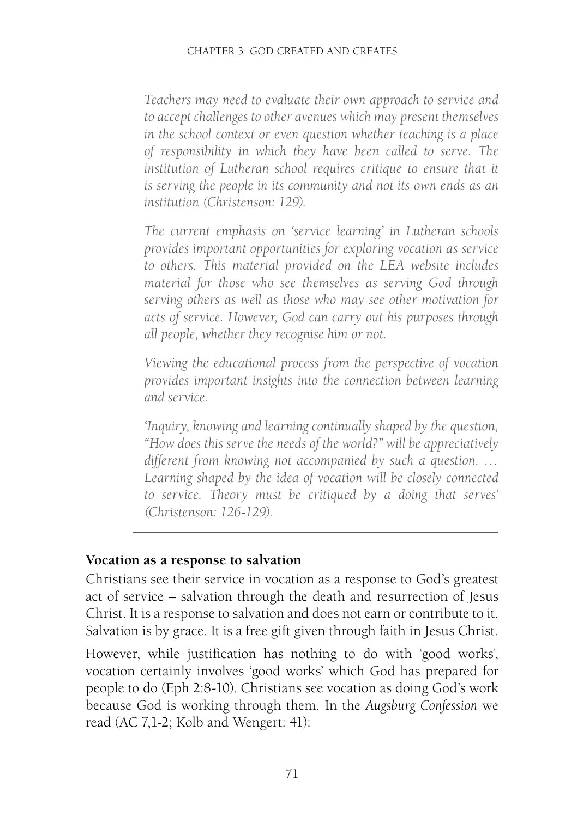*Teachers may need to evaluate their own approach to service and to accept challenges to other avenues which may present themselves in the school context or even question whether teaching is a place of responsibility in which they have been called to serve. The*  institution of Lutheran school requires critique to ensure that it *is serving the people in its community and not its own ends as an institution (Christenson: 129).*

*The current emphasis on 'service learning' in Lutheran schools provides important opportunities for exploring vocation as service to others. This material provided on the LEA website includes material for those who see themselves as serving God through serving others as well as those who may see other motivation for acts of service. However, God can carry out his purposes through all people, whether they recognise him or not.*

*Viewing the educational process from the perspective of vocation provides important insights into the connection between learning and service.*

*'Inquiry, knowing and learning continually shaped by the question, "How does this serve the needs of the world?" will be appreciatively different from knowing not accompanied by such a question. … Learning shaped by the idea of vocation will be closely connected to service. Theory must be critiqued by a doing that serves' (Christenson: 126-129).*

#### **Vocation as a response to salvation**

Christians see their service in vocation as a response to God's greatest act of service – salvation through the death and resurrection of Jesus Christ. It is a response to salvation and does not earn or contribute to it. Salvation is by grace. It is a free gift given through faith in Jesus Christ.

However, while justification has nothing to do with 'good works', vocation certainly involves 'good works' which God has prepared for people to do (Eph 2:8-10). Christians see vocation as doing God's work because God is working through them. In the *Augsburg Confession* we read (AC 7,1-2; Kolb and Wengert: 41):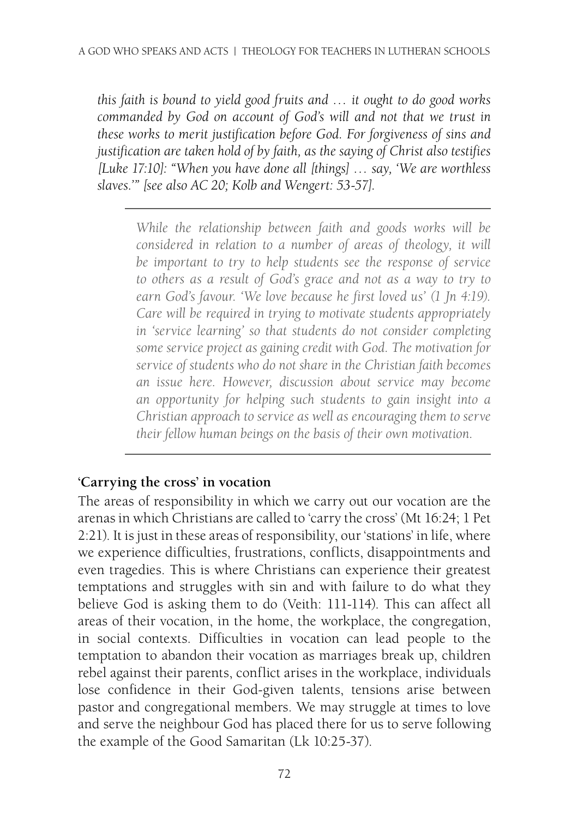*this faith is bound to yield good fruits and … it ought to do good works commanded by God on account of God's will and not that we trust in these works to merit justification before God. For forgiveness of sins and justification are taken hold of by faith, as the saying of Christ also testifies [Luke 17:10]: "When you have done all [things] … say, 'We are worthless slaves.'" [see also AC 20; Kolb and Wengert: 53-57].*

> *While the relationship between faith and goods works will be considered in relation to a number of areas of theology, it will be important to try to help students see the response of service to [others as](http://www.biblegateway.com/passage/?search=Mat%2016:24&version=NRSV) a [result of](http://www.biblegateway.com/passage/?search=1%20Pet%202:21&version=NRSV) God's grace and not as a way to try to earn God's favour. 'We love because he first loved us' (1 Jn 4:19). Care will be required in trying to motivate students appropriately in 'service learning' so that students do not consider completing some service project as gaining credit with God. The motivation for service of students who do not share in the Christian faith becomes an issue here. However, discussion about service may become an opportunity for helping such students to gain insight into a Christian approach to service as well as encouraging them to serve their fellow human beings on the basis of their own motivation.*

#### **'Carrying the cross' in vocation**

The areas of responsibility in which we carry out our vocation are the arenas in which Christians are called to 'carry the cross' (Mt 16:24; 1 Pet 2:21). It is just in these areas of responsibility, our 'stations' [in life, wh](http://www.biblegateway.com/passage/?search=Lk%2010:25-37&version=NRSV)ere we experience difficulties, frustrations, conflicts, disappointments and even tragedies. This is where Christians can experience their greatest temptations and struggles with sin and with failure to do what they believe God is asking them to do (Veith: 111-114). This can affect all areas of their vocation, in the home, the workplace, the congregation, in social contexts. Difficulties in vocation can lead people to the temptation to abandon their vocation as marriages break up, children rebel against their parents, conflict arises in the workplace, individuals lose confidence in their God-given talents, tensions arise between pastor and congregational members. We may struggle at times to love and serve the neighbour God has placed there for us to serve following the example of the Good Samaritan (Lk 10:25-37).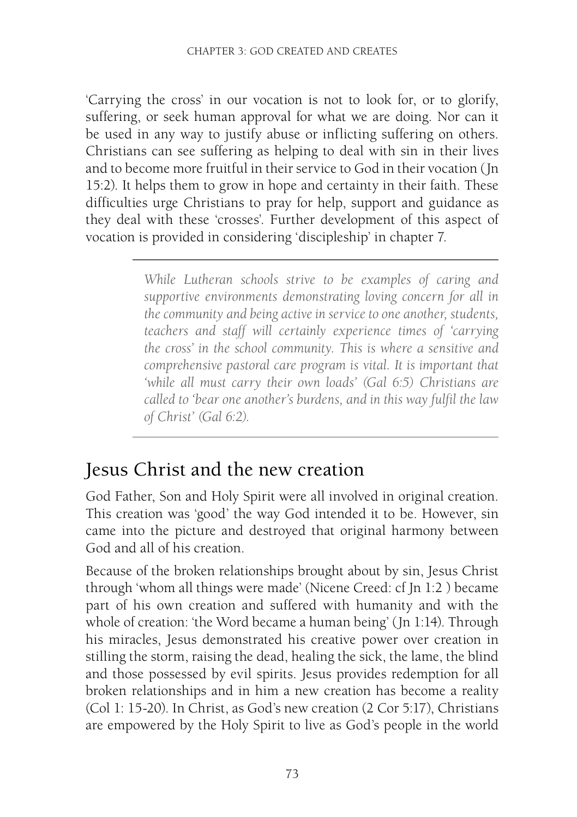'Carrying the cross' in our vocation is not to look for, or to glorify, suffering, or seek human approval for what we are doing. Nor can it be used in any way to justify abuse or inflicting suffering on others. Christians can see suffering as helping to deal with sin in their lives and to become more fruitful in their service to God in their vocation (Jn 15:2). It helps them to grow in hope and certainty in their faith. These difficulties urge Christians to pray for help, support and guidance as they deal with these 'crosses'. Further development of this aspect of vocation is provided in considering 'discipleship' in chapter 7.

> *While Lutheran schools strive to be examples of caring and supportive environments demonstrating loving concern for all in the community and being active in service to one another, students, teachers and staff will certainly experience times of 'carrying the cross' in the school community. This is where a sensitive and comprehensive pastoral care program is vital. It is important that 'while all must carry their own loads' (Gal 6:5) Christians are called to 'bear one another's burdens, and in this way fulfil the law of Christ' (Gal 6:2).*

### [Jesus Chri](http://www.biblegateway.com/passage/?search=Col%201:%2015-20&version=NRSV)st and the new creation

God Father, [Son and Ho](http://www.biblegateway.com/passage/?search=2%20Cor%205:17&version=NRSV)ly Spirit were all involved in original creation. This creation was 'good' the way God intended it to be. However, sin came into the picture and destroyed that original harmony between God and all of his creation.

Because of the broken relationsh[ips broug](http://www.biblegateway.com/passage/?search=Rev%2021:1-4&version=NRSV)ht about by sin, Jesus Christ through 'whom all things were made' (Nicene Creed: cf Jn 1:2 ) became part of his own creation and suffered with humanity and with the whole of creation: 'the Word became a human being' (Jn 1:14). Through hi[s miracles,](http://www.biblegateway.com/passage/?search=Rom%208:19-25&version=NRSV) Jesus demonstrated his creative power over creation in stilling the storm, raising the dead, healing the sick, the lame, the blind and those possessed by evil spirits. Jesus provides redemption for all broken relationships and in him a new creation has become a reality (Col 1: 15-20). In Christ, as God's new creation (2 Cor 5:17), Christians are empowered by the Holy Spir[it to live a](http://www.biblegateway.com/passage/?search=Rom%208:37-39&version=NRSV)[s God's pe](http://www.biblegateway.com/passage/?search=Col%203:1-4&version=NRSV)ople in the world